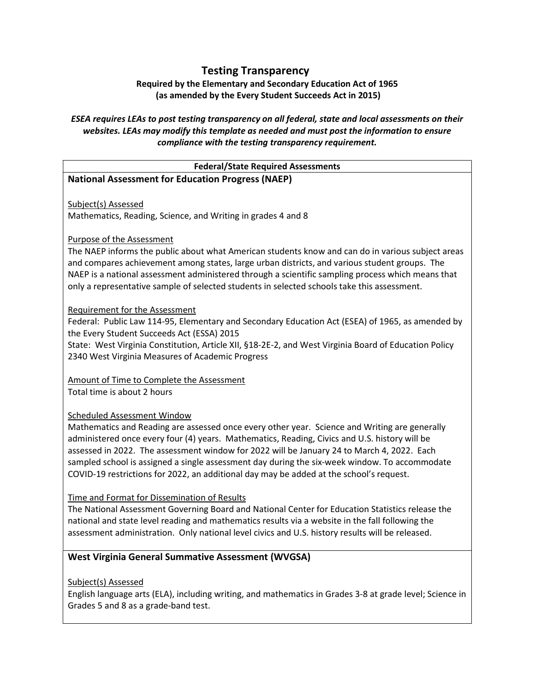# Testing Transparency

Required by the Elementary and Secondary Education Act of 1965 (as amended by the Every Student Succeeds Act in 2015)

# ESEA requires LEAs to post testing transparency on all federal, state and local assessments on their websites. LEAs may modify this template as needed and must post the information to ensure compliance with the testing transparency requirement.

### Federal/State Required Assessments National Assessment for Education Progress (NAEP)

Subject(s) Assessed Mathematics, Reading, Science, and Writing in grades 4 and 8

### Purpose of the Assessment

The NAEP informs the public about what American students know and can do in various subject areas and compares achievement among states, large urban districts, and various student groups. The NAEP is a national assessment administered through a scientific sampling process which means that only a representative sample of selected students in selected schools take this assessment.

#### Requirement for the Assessment

Federal: Public Law 114-95, Elementary and Secondary Education Act (ESEA) of 1965, as amended by the Every Student Succeeds Act (ESSA) 2015

State: West Virginia Constitution, Article XII, §18-2E-2, and West Virginia Board of Education Policy 2340 West Virginia Measures of Academic Progress

Amount of Time to Complete the Assessment Total time is about 2 hours

# Scheduled Assessment Window

Mathematics and Reading are assessed once every other year. Science and Writing are generally administered once every four (4) years. Mathematics, Reading, Civics and U.S. history will be assessed in 2022. The assessment window for 2022 will be January 24 to March 4, 2022. Each sampled school is assigned a single assessment day during the six-week window. To accommodate COVID-19 restrictions for 2022, an additional day may be added at the school's request.

#### Time and Format for Dissemination of Results

The National Assessment Governing Board and National Center for Education Statistics release the national and state level reading and mathematics results via a website in the fall following the assessment administration. Only national level civics and U.S. history results will be released.

# West Virginia General Summative Assessment (WVGSA)

Subject(s) Assessed

English language arts (ELA), including writing, and mathematics in Grades 3-8 at grade level; Science in Grades 5 and 8 as a grade-band test.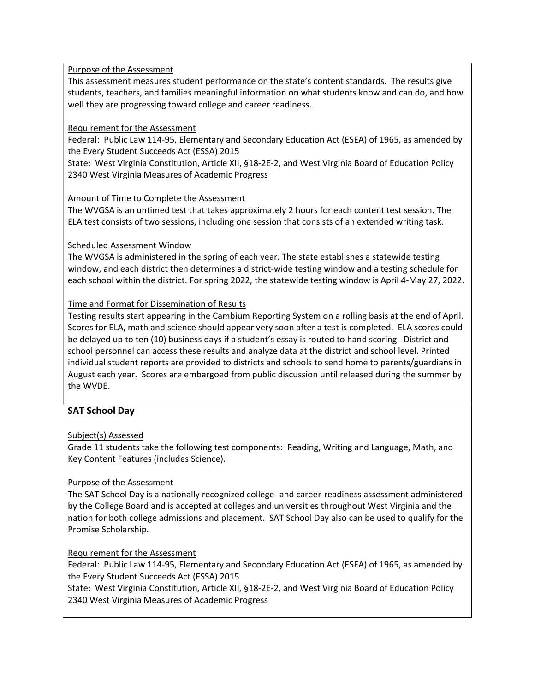### Purpose of the Assessment

This assessment measures student performance on the state's content standards. The results give students, teachers, and families meaningful information on what students know and can do, and how well they are progressing toward college and career readiness.

### Requirement for the Assessment

Federal: Public Law 114-95, Elementary and Secondary Education Act (ESEA) of 1965, as amended by the Every Student Succeeds Act (ESSA) 2015

State: West Virginia Constitution, Article XII, §18-2E-2, and West Virginia Board of Education Policy 2340 West Virginia Measures of Academic Progress

### Amount of Time to Complete the Assessment

The WVGSA is an untimed test that takes approximately 2 hours for each content test session. The ELA test consists of two sessions, including one session that consists of an extended writing task.

### Scheduled Assessment Window

The WVGSA is administered in the spring of each year. The state establishes a statewide testing window, and each district then determines a district-wide testing window and a testing schedule for each school within the district. For spring 2022, the statewide testing window is April 4-May 27, 2022.

### Time and Format for Dissemination of Results

Testing results start appearing in the Cambium Reporting System on a rolling basis at the end of April. Scores for ELA, math and science should appear very soon after a test is completed. ELA scores could be delayed up to ten (10) business days if a student's essay is routed to hand scoring. District and school personnel can access these results and analyze data at the district and school level. Printed individual student reports are provided to districts and schools to send home to parents/guardians in August each year. Scores are embargoed from public discussion until released during the summer by the WVDE.

# SAT School Day

# Subject(s) Assessed

Grade 11 students take the following test components: Reading, Writing and Language, Math, and Key Content Features (includes Science).

# Purpose of the Assessment

The SAT School Day is a nationally recognized college- and career-readiness assessment administered by the College Board and is accepted at colleges and universities throughout West Virginia and the nation for both college admissions and placement. SAT School Day also can be used to qualify for the Promise Scholarship.

# Requirement for the Assessment

Federal: Public Law 114-95, Elementary and Secondary Education Act (ESEA) of 1965, as amended by the Every Student Succeeds Act (ESSA) 2015

State: West Virginia Constitution, Article XII, §18-2E-2, and West Virginia Board of Education Policy 2340 West Virginia Measures of Academic Progress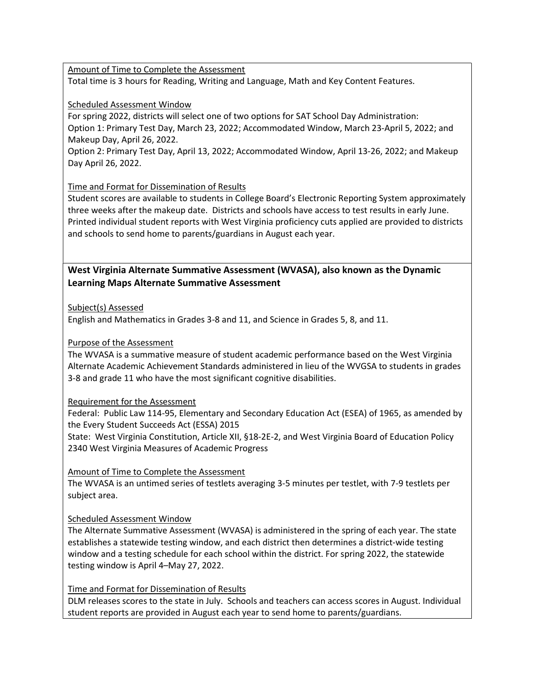Amount of Time to Complete the Assessment Total time is 3 hours for Reading, Writing and Language, Math and Key Content Features.

#### Scheduled Assessment Window

For spring 2022, districts will select one of two options for SAT School Day Administration: Option 1: Primary Test Day, March 23, 2022; Accommodated Window, March 23-April 5, 2022; and Makeup Day, April 26, 2022.

Option 2: Primary Test Day, April 13, 2022; Accommodated Window, April 13-26, 2022; and Makeup Day April 26, 2022.

# Time and Format for Dissemination of Results

Student scores are available to students in College Board's Electronic Reporting System approximately three weeks after the makeup date. Districts and schools have access to test results in early June. Printed individual student reports with West Virginia proficiency cuts applied are provided to districts and schools to send home to parents/guardians in August each year.

# West Virginia Alternate Summative Assessment (WVASA), also known as the Dynamic Learning Maps Alternate Summative Assessment

### Subject(s) Assessed

English and Mathematics in Grades 3-8 and 11, and Science in Grades 5, 8, and 11.

### Purpose of the Assessment

The WVASA is a summative measure of student academic performance based on the West Virginia Alternate Academic Achievement Standards administered in lieu of the WVGSA to students in grades 3-8 and grade 11 who have the most significant cognitive disabilities.

#### Requirement for the Assessment

Federal: Public Law 114-95, Elementary and Secondary Education Act (ESEA) of 1965, as amended by the Every Student Succeeds Act (ESSA) 2015

State: West Virginia Constitution, Article XII, §18-2E-2, and West Virginia Board of Education Policy 2340 West Virginia Measures of Academic Progress

# Amount of Time to Complete the Assessment

The WVASA is an untimed series of testlets averaging 3-5 minutes per testlet, with 7-9 testlets per subject area.

# Scheduled Assessment Window

The Alternate Summative Assessment (WVASA) is administered in the spring of each year. The state establishes a statewide testing window, and each district then determines a district-wide testing window and a testing schedule for each school within the district. For spring 2022, the statewide testing window is April 4–May 27, 2022.

#### Time and Format for Dissemination of Results

DLM releases scores to the state in July. Schools and teachers can access scores in August. Individual student reports are provided in August each year to send home to parents/guardians.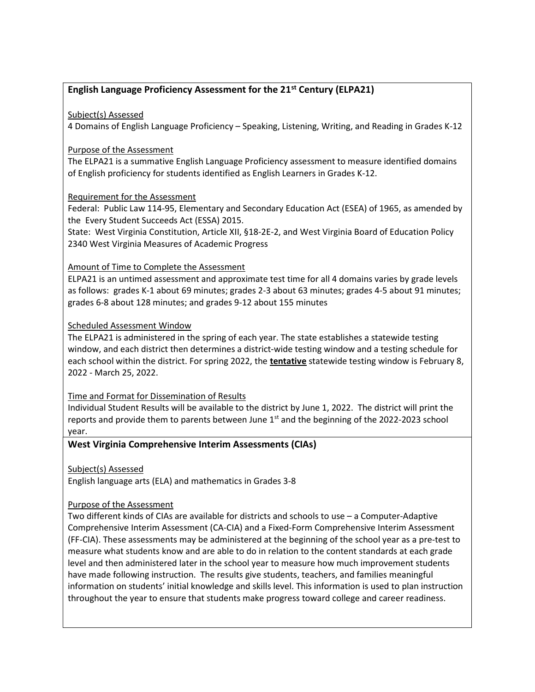# English Language Proficiency Assessment for the  $21<sup>st</sup>$  Century (ELPA21)

### Subject(s) Assessed

4 Domains of English Language Proficiency – Speaking, Listening, Writing, and Reading in Grades K-12

### Purpose of the Assessment

The ELPA21 is a summative English Language Proficiency assessment to measure identified domains of English proficiency for students identified as English Learners in Grades K-12.

### Requirement for the Assessment

Federal: Public Law 114-95, Elementary and Secondary Education Act (ESEA) of 1965, as amended by the Every Student Succeeds Act (ESSA) 2015.

State: West Virginia Constitution, Article XII, §18-2E-2, and West Virginia Board of Education Policy 2340 West Virginia Measures of Academic Progress

### Amount of Time to Complete the Assessment

ELPA21 is an untimed assessment and approximate test time for all 4 domains varies by grade levels as follows: grades K-1 about 69 minutes; grades 2-3 about 63 minutes; grades 4-5 about 91 minutes; grades 6-8 about 128 minutes; and grades 9-12 about 155 minutes

### Scheduled Assessment Window

The ELPA21 is administered in the spring of each year. The state establishes a statewide testing window, and each district then determines a district-wide testing window and a testing schedule for each school within the district. For spring 2022, the tentative statewide testing window is February 8, 2022 - March 25, 2022.

#### Time and Format for Dissemination of Results

Individual Student Results will be available to the district by June 1, 2022. The district will print the reports and provide them to parents between June  $1<sup>st</sup>$  and the beginning of the 2022-2023 school year.

# West Virginia Comprehensive Interim Assessments (CIAs)

Subject(s) Assessed

English language arts (ELA) and mathematics in Grades 3-8

# Purpose of the Assessment

Two different kinds of CIAs are available for districts and schools to use – a Computer-Adaptive Comprehensive Interim Assessment (CA-CIA) and a Fixed-Form Comprehensive Interim Assessment (FF-CIA). These assessments may be administered at the beginning of the school year as a pre-test to measure what students know and are able to do in relation to the content standards at each grade level and then administered later in the school year to measure how much improvement students have made following instruction. The results give students, teachers, and families meaningful information on students' initial knowledge and skills level. This information is used to plan instruction throughout the year to ensure that students make progress toward college and career readiness.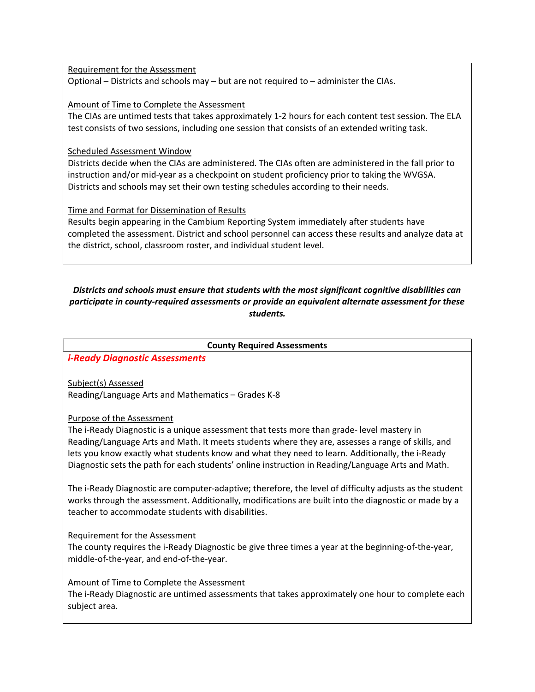Requirement for the Assessment

Optional – Districts and schools may – but are not required to – administer the CIAs.

Amount of Time to Complete the Assessment

The CIAs are untimed tests that takes approximately 1-2 hours for each content test session. The ELA test consists of two sessions, including one session that consists of an extended writing task.

Scheduled Assessment Window

Districts decide when the CIAs are administered. The CIAs often are administered in the fall prior to instruction and/or mid-year as a checkpoint on student proficiency prior to taking the WVGSA. Districts and schools may set their own testing schedules according to their needs.

Time and Format for Dissemination of Results

Results begin appearing in the Cambium Reporting System immediately after students have completed the assessment. District and school personnel can access these results and analyze data at the district, school, classroom roster, and individual student level.

### Districts and schools must ensure that students with the most significant cognitive disabilities can participate in county-required assessments or provide an equivalent alternate assessment for these students.

County Required Assessments

i-Ready Diagnostic Assessments

Subject(s) Assessed Reading/Language Arts and Mathematics – Grades K-8

Purpose of the Assessment

The i-Ready Diagnostic is a unique assessment that tests more than grade- level mastery in Reading/Language Arts and Math. It meets students where they are, assesses a range of skills, and lets you know exactly what students know and what they need to learn. Additionally, the i-Ready Diagnostic sets the path for each students' online instruction in Reading/Language Arts and Math.

The i-Ready Diagnostic are computer-adaptive; therefore, the level of difficulty adjusts as the student works through the assessment. Additionally, modifications are built into the diagnostic or made by a teacher to accommodate students with disabilities.

Requirement for the Assessment

The county requires the i-Ready Diagnostic be give three times a year at the beginning-of-the-year, middle-of-the-year, and end-of-the-year.

Amount of Time to Complete the Assessment

The i-Ready Diagnostic are untimed assessments that takes approximately one hour to complete each subject area.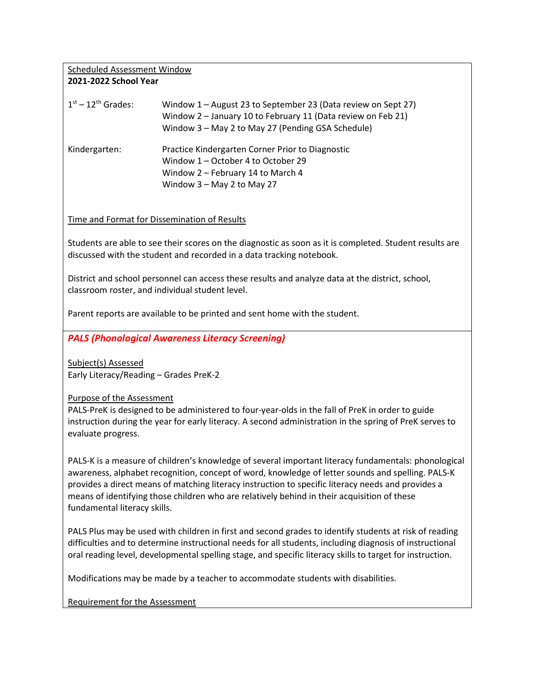#### Scheduled Assessment Window 2021-2022 School Year

| $1st - 12th$ Grades: | Window 1 - August 23 to September 23 (Data review on Sept 27)<br>Window 2 - January 10 to February 11 (Data review on Feb 21)<br>Window 3 - May 2 to May 27 (Pending GSA Schedule) |
|----------------------|------------------------------------------------------------------------------------------------------------------------------------------------------------------------------------|
| Kindergarten:        | Practice Kindergarten Corner Prior to Diagnostic<br>Window 1 - October 4 to October 29<br>Window 2 – February 14 to March 4<br>Window $3 -$ May 2 to May 27                        |

Time and Format for Dissemination of Results

Students are able to see their scores on the diagnostic as soon as it is completed. Student results are discussed with the student and recorded in a data tracking notebook.

District and school personnel can access these results and analyze data at the district, school, classroom roster, and individual student level.

Parent reports are available to be printed and sent home with the student.

PALS (Phonological Awareness Literacy Screening)

Subject(s) Assessed Early Literacy/Reading – Grades PreK-2

Purpose of the Assessment

PALS-PreK is designed to be administered to four-year-olds in the fall of PreK in order to guide instruction during the year for early literacy. A second administration in the spring of PreK serves to evaluate progress.

PALS-K is a measure of children's knowledge of several important literacy fundamentals: phonological awareness, alphabet recognition, concept of word, knowledge of letter sounds and spelling. PALS-K provides a direct means of matching literacy instruction to specific literacy needs and provides a means of identifying those children who are relatively behind in their acquisition of these fundamental literacy skills.

PALS Plus may be used with children in first and second grades to identify students at risk of reading difficulties and to determine instructional needs for all students, including diagnosis of instructional oral reading level, developmental spelling stage, and specific literacy skills to target for instruction.

Modifications may be made by a teacher to accommodate students with disabilities.

Requirement for the Assessment